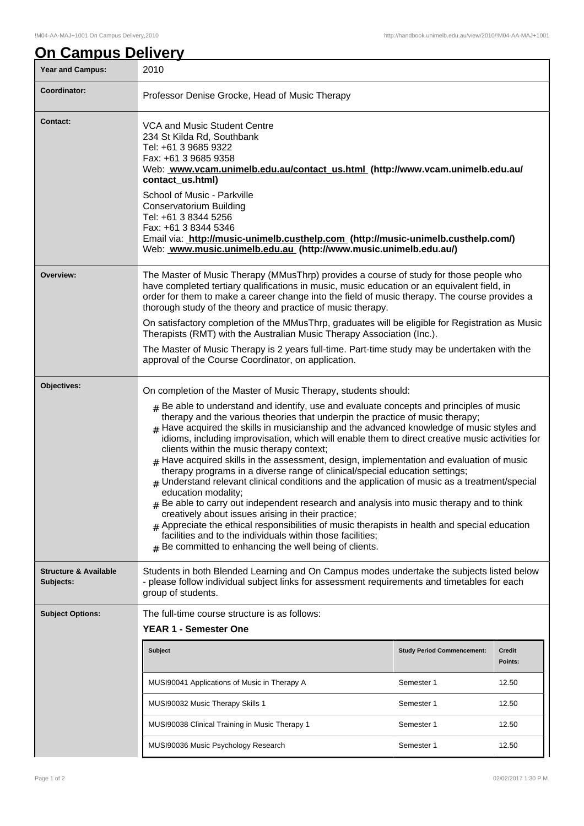## **On Campus Delivery**

| Year and Campus:                              | 2010                                                                                                                                                                                                                                                                                                                                                                                                                                                                                                                                                                                                                                                                                                                                                                                                                                                                                                                                                                                                                                                                                                                                                                                             |                                   |                          |  |  |
|-----------------------------------------------|--------------------------------------------------------------------------------------------------------------------------------------------------------------------------------------------------------------------------------------------------------------------------------------------------------------------------------------------------------------------------------------------------------------------------------------------------------------------------------------------------------------------------------------------------------------------------------------------------------------------------------------------------------------------------------------------------------------------------------------------------------------------------------------------------------------------------------------------------------------------------------------------------------------------------------------------------------------------------------------------------------------------------------------------------------------------------------------------------------------------------------------------------------------------------------------------------|-----------------------------------|--------------------------|--|--|
| Coordinator:                                  | Professor Denise Grocke, Head of Music Therapy                                                                                                                                                                                                                                                                                                                                                                                                                                                                                                                                                                                                                                                                                                                                                                                                                                                                                                                                                                                                                                                                                                                                                   |                                   |                          |  |  |
| <b>Contact:</b>                               | VCA and Music Student Centre<br>234 St Kilda Rd, Southbank<br>Tel: +61 3 9685 9322<br>Fax: +61 3 9685 9358<br>Web: www.vcam.unimelb.edu.au/contact_us.html (http://www.vcam.unimelb.edu.au/<br>contact_us.html)<br>School of Music - Parkville<br>Conservatorium Building<br>Tel: +61 3 8344 5256<br>Fax: +61 3 8344 5346                                                                                                                                                                                                                                                                                                                                                                                                                                                                                                                                                                                                                                                                                                                                                                                                                                                                        |                                   |                          |  |  |
|                                               | Email via: http://music-unimelb.custhelp.com (http://music-unimelb.custhelp.com/)<br>Web: www.music.unimelb.edu.au (http://www.music.unimelb.edu.au/)                                                                                                                                                                                                                                                                                                                                                                                                                                                                                                                                                                                                                                                                                                                                                                                                                                                                                                                                                                                                                                            |                                   |                          |  |  |
| Overview:                                     | The Master of Music Therapy (MMusThrp) provides a course of study for those people who<br>have completed tertiary qualifications in music, music education or an equivalent field, in<br>order for them to make a career change into the field of music therapy. The course provides a<br>thorough study of the theory and practice of music therapy.                                                                                                                                                                                                                                                                                                                                                                                                                                                                                                                                                                                                                                                                                                                                                                                                                                            |                                   |                          |  |  |
|                                               | On satisfactory completion of the MMusThrp, graduates will be eligible for Registration as Music<br>Therapists (RMT) with the Australian Music Therapy Association (Inc.).                                                                                                                                                                                                                                                                                                                                                                                                                                                                                                                                                                                                                                                                                                                                                                                                                                                                                                                                                                                                                       |                                   |                          |  |  |
|                                               | The Master of Music Therapy is 2 years full-time. Part-time study may be undertaken with the<br>approval of the Course Coordinator, on application.                                                                                                                                                                                                                                                                                                                                                                                                                                                                                                                                                                                                                                                                                                                                                                                                                                                                                                                                                                                                                                              |                                   |                          |  |  |
| Objectives:                                   | On completion of the Master of Music Therapy, students should:<br>$_{\text{\#}}$ Be able to understand and identify, use and evaluate concepts and principles of music<br>therapy and the various theories that underpin the practice of music therapy;<br>$#$ Have acquired the skills in musicianship and the advanced knowledge of music styles and<br>idioms, including improvisation, which will enable them to direct creative music activities for<br>clients within the music therapy context;<br>$#$ Have acquired skills in the assessment, design, implementation and evaluation of music<br>therapy programs in a diverse range of clinical/special education settings;<br># Understand relevant clinical conditions and the application of music as a treatment/special<br>education modality;<br>$#$ Be able to carry out independent research and analysis into music therapy and to think<br>creatively about issues arising in their practice;<br>$_{\#}$ Appreciate the ethical responsibilities of music therapists in health and special education<br>facilities and to the individuals within those facilities;<br>$#$ Be committed to enhancing the well being of clients. |                                   |                          |  |  |
| <b>Structure &amp; Available</b><br>Subjects: | Students in both Blended Learning and On Campus modes undertake the subjects listed below<br>- please follow individual subject links for assessment requirements and timetables for each<br>group of students.                                                                                                                                                                                                                                                                                                                                                                                                                                                                                                                                                                                                                                                                                                                                                                                                                                                                                                                                                                                  |                                   |                          |  |  |
| <b>Subject Options:</b>                       | The full-time course structure is as follows:<br><b>YEAR 1 - Semester One</b>                                                                                                                                                                                                                                                                                                                                                                                                                                                                                                                                                                                                                                                                                                                                                                                                                                                                                                                                                                                                                                                                                                                    |                                   |                          |  |  |
|                                               | <b>Subject</b>                                                                                                                                                                                                                                                                                                                                                                                                                                                                                                                                                                                                                                                                                                                                                                                                                                                                                                                                                                                                                                                                                                                                                                                   | <b>Study Period Commencement:</b> | <b>Credit</b><br>Points: |  |  |
|                                               | MUSI90041 Applications of Music in Therapy A                                                                                                                                                                                                                                                                                                                                                                                                                                                                                                                                                                                                                                                                                                                                                                                                                                                                                                                                                                                                                                                                                                                                                     | Semester 1                        | 12.50                    |  |  |
|                                               | MUSI90032 Music Therapy Skills 1                                                                                                                                                                                                                                                                                                                                                                                                                                                                                                                                                                                                                                                                                                                                                                                                                                                                                                                                                                                                                                                                                                                                                                 | Semester 1                        | 12.50                    |  |  |
|                                               | MUSI90038 Clinical Training in Music Therapy 1                                                                                                                                                                                                                                                                                                                                                                                                                                                                                                                                                                                                                                                                                                                                                                                                                                                                                                                                                                                                                                                                                                                                                   | Semester 1                        | 12.50                    |  |  |
|                                               | MUSI90036 Music Psychology Research                                                                                                                                                                                                                                                                                                                                                                                                                                                                                                                                                                                                                                                                                                                                                                                                                                                                                                                                                                                                                                                                                                                                                              | Semester 1                        | 12.50                    |  |  |